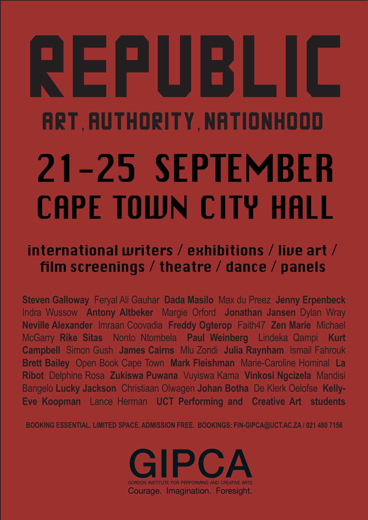# REPUBLIc arT, authoritY, NATIONHOOD 21-25 SEPTEMBER **CAPE TOWN CITY HALL**

# international writers / exhibitions / live art / film screenings / theatre / dance / panels

**Steven Galloway** Feryal Ali Gauhar **Dada Masilo** Max du Preez **Jenny Erpenbeck**  Indra Wussow **Antony Altbeker** Margie Orford **Jonathan Jansen** Dylan Wray **Neville Alexander** Imraan Coovadia **Freddy Ogterop** Faith47 **Zen Marie** Michael McGarry **Rike Sitas** Nonto Ntombela **Paul Weinberg** Lindeka Qampi **Kurt Campbell** Simon Gush **James Cairns** Mlu Zondi **Julia Raynham** Ismail Fahrouk **Brett Bailey** Open Book Cape Town **Mark Fleishman** Marie-Caroline Hominal **La Ribot** Delphine Rosa **Zukiswa Puwana** Vuyiswa Kama **Vinkosi Ngcizela** Mandisi Bangelo **Lucky Jackson** Christiaan Olwagen **Johan Botha** De Klerk Oelofse **Kelly-Eve Koopman** Lance Herman **UCT Performing and Creative Art students** 

**BOOKING ESSENTIAL. LIMITED SPACE. ADMISSION FREE. BOOKINGS: FIN-GIPCA@UCT.AC.ZA / 021 480 7156**

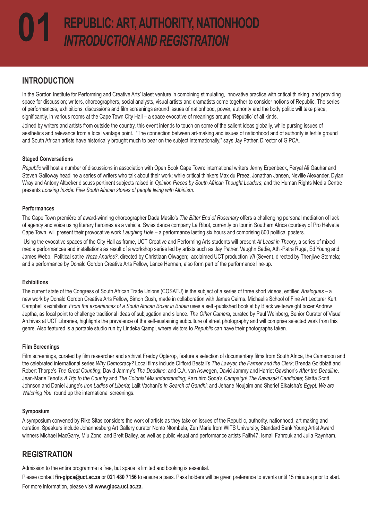# **INTRODUCTION**

In the Gordon Institute for Performing and Creative Arts' latest venture in combining stimulating, innovative practice with critical thinking, and providing space for discussion; writers, choreographers, social analysts, visual artists and dramatists come together to consider notions of Republic. The series of performances, exhibitions, discussions and film screenings around issues of nationhood, power, authority and the body politic will take place, significantly, in various rooms at the Cape Town City Hall – a space evocative of meanings around 'Republic' of all kinds.

Joined by writers and artists from outside the country, this event intends to touch on some of the salient ideas globally, while pursing issues of aesthetics and relevance from a local vantage point. "The connection between art-making and issues of nationhood and of authority is fertile ground and South African artists have historically brought much to bear on the subject internationally," says Jay Pather, Director of GIPCA.

#### **Staged Conversations**

*Republic* will host a number of discussions in association with Open Book Cape Town: international writers Jenny Erpenbeck, Feryal Ali Gauhar and Steven Galloway headline a series of writers who talk about their work; while critical thinkers Max du Preez, Jonathan Jansen, Neville Alexander, Dylan Wray and Antony Altbeker discuss pertinent subjects raised in *Opinion Pieces by South African Thought Leaders*; and the Human Rights Media Centre presents *Looking Inside: Five South African stories of people living with Albinism*.

#### **Performances**

The Cape Town première of award-winning choreographer Dada Masilo's *The Bitter End of Rosemary* offers a challenging personal mediation of lack of agency and voice using literary heroines as a vehicle. Swiss dance company La Ribot, currently on tour in Southern Africa courtesy of Pro Helvetia Cape Town, will present their provocative work *Laughing Hole* – a performance lasting six hours and comprising 800 political posters.

 Using the evocative spaces of the City Hall as frame, UCT Creative and Performing Arts students will present *At Least in Theory*, a series of mixed media performances and installations as result of a workshop series led by artists such as Jay Pather, Vaughn Sadie, Athi-Patra Ruga, Ed Young and James Webb. Political satire *Woza Andries?*, directed by Christiaan Olwagen; acclaimed UCT production *VII* (Seven), directed by Thenjiwe Stemela; and a performance by Donald Gordon Creative Arts Fellow, Lance Herman, also form part of the performance line-up.

#### **Exhibitions**

The current state of the Congress of South African Trade Unions (COSATU) is the subject of a series of three short videos, entitled *Analogues* – a new work by Donald Gordon Creative Arts Fellow, Simon Gush, made in collaboration with James Cairns. Michaelis School of Fine Art Lecturer Kurt Campbell's exhibition *From the experiences of a South African Boxer in Britain* uses a self -published booklet by Black welterweight boxer Andrew Jeptha, as focal point to challenge traditional ideas of subjugation and silence. *The Other Camera*, curated by Paul Weinberg, Senior Curator of Visual Archives at UCT Libraries, highlights the prevalence of the self-sustaining subculture of street photography and will comprise selected work from this genre. Also featured is a portable studio run by Lindeka Qampi, where visitors to *Republic* can have their photographs taken.

#### **Film Screenings**

Film screenings, curated by film researcher and archivst Freddy Ogterop, feature a selection of documentary films from South Africa, the Cameroon and the celebrated international series *Why Democracy?* Local films include Clifford Bestall's *The Lawyer, the Farmer and the Clerk*; Brenda Goldblatt and Robert Thorpe's *The Great Counting*; David Jammy's *The Deadline*; and C.A. van Aswegen, David Jammy and Harriet Gavshon's *After the Deadline*. Jean-Marie Tenot's *A Trip to the Country* and *The Colonial Misunderstanding;* Kazuhiro Soda's *Campaign! The Kawasaki Candidate*; Siatta Scott Johnson and Daniel Junge's *Iron Ladies of Liberia*; Lalit Vachani's *In Search of Gandhi*; and Jehane Noujaim and Sherief Elkatsha's *Egypt: We are Watching You* round up the international screenings.

#### **Symposium**

A symposium convened by Rike Sitas considers the work of artists as they take on issues of the Republic, authority, nationhood, art making and curation. Speakers include Johannesburg Art Gallery curator Nonto Ntombela, Zen Marie from WITS University, Standard Bank Young Artist Award winners Michael MacGarry, Mlu Zondi and Brett Bailey, as well as public visual and performance artists Faith47, Ismail Fahrouk and Julia Raynham.

# **REGISTRATION**

Admission to the entire programme is free, but space is limited and booking is essential.

Please contact **fin-gipca@uct.ac.za** or **021 480 7156** to ensure a pass. Pass holders will be given preference to events until 15 minutes prior to start. For more information, please visit **www.gipca.uct.ac.za.**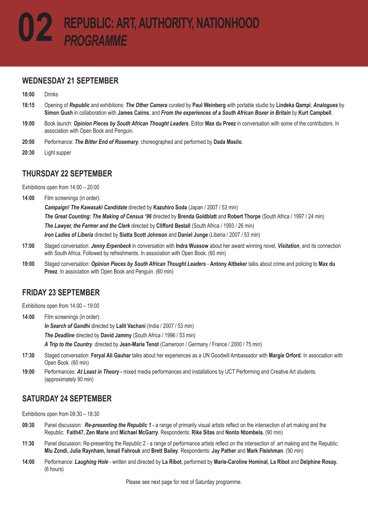#### **WEDNESDAY 21 SEPTEMBER**

**18:00** Drinks

- **18:15** Opening of *Republic* and exhibitions: *The Other Camera* curated by **Paul Weinberg** with portable studio by **Lindeka Qampi**; *Analogues* by **Simon Gush** in collaboration with **James Cairns**, and *From the experiences of a South African Boxer in Britain* by **Kurt Campbell**.
- **19:00** Book launch: *Opinion Pieces by South African Thought Leaders*. Editor **Max du Preez** in conversation with some of the contributors. In association with Open Book and Penguin.
- **20:00** Performance: *The Bitter End of Rosemary*, choreographed and performed by **Dada Masilo**.
- **20:30** Light supper

#### **THURSDAY 22 SEPTEMBER**

Exhibitions open from 14:00 – 20:00

**14:00** Film screenings (in order):

*Campaign! The Kawasaki Candidate* directed by **Kazuhiro Soda** (Japan / 2007 / 53 min) *The Great Counting: The Making of Census '96* directed by **Brenda Goldblatt** and **Robert Thorpe** (South Africa / 1997 / 24 min) *The Lawyer, the Farmer and the Clerk* directed by **Clifford Bestall** (South Africa / 1993 / 26 min) *Iron Ladies of Liberia* directed by **Siatta Scott Johnson** and **Daniel Junge** (Liberia / 2007 / 53 min)

- **17:00** Staged conversation: *Jenny Erpenbeck* in conversation with **Indra Wussow** about her award winning novel, *Visitation*, and its connection with South Africa. Followed by refreshments. In association with Open Book. (60 min)
- **19:00** Staged conversation: *Opinion Pieces by South African Thought Leaders*  **Antony Altbeker** talks about crime and policing to **Max du Preez**. In association with Open Book and Penguin. (60 min)

#### **FRIDAY 23 SEPTEMBER**

Exhibitions open from 14:00 – 19:00

**14:00** Film screenings (in order):

*In Search of Gandhi* directed by **Lalit Vachani** (India / 2007 / 53 min)

*The Deadline* directed by **David Jammy** (South Africa / 1996 / 53 min)

*A Trip to the Country* directed by **Jean-Marie Tenot** (Cameroon / Germany / France / 2000 / 75 min)

- **17:30** Staged conversation: **Feryal Ali Gauhar** talks about her experiences as a UN Goodwill Ambassador with **Margie Orford**. In association with Open Book. (60 min)
- **19:00** Performances: *At Least in Theory*mixed media performances and installations by UCT Performing and Creative Art students. (approximately 90 min)

# **SATURDAY 24 SEPTEMBER**

Exhibitions open from 09:30 – 18:30

- **09:30** Panel discussion: *Re-presenting the Republic 1* a range of primarily visual artists reflect on the intersection of art making and the Republic: **Faith47, Zen Marie** and **Michael McGarry**. Respondents: **Rike Sitas** and **Nonto Ntombela.** (90 min)
- **11:30** Panel discussion: Re-presenting the Republic 2 a range of performance artists reflect on the intersection of art making and the Republic: **Mlu Zondi, Julia Raynham, Ismail Fahrouk** and **Brett Bailey**. Respondents: **Jay Pather** and **Mark Fleishman**. (90 min)
- **14:00** Performance: *Laughing Hole* written and directed by **La Ribot**, performed by **Marie-Caroline Hominal, La Ribot** and **Delphine Rosay.**  (6 hours)

Please see next page for rest of Saturday programme.